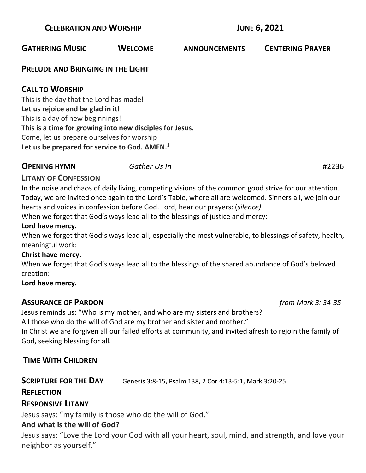#### **GATHERING MUSIC WELCOME ANNOUNCEMENTS CENTERING PRAYER**

#### **PRELUDE AND BRINGING IN THE LIGHT**

# **CALL TO WORSHIP**

This is the day that the Lord has made! **Let us rejoice and be glad in it!** This is a day of new beginnings! **This is a time for growing into new disciples for Jesus.** Come, let us prepare ourselves for worship **Let us be prepared for service to God. AMEN.<sup>1</sup>**

# **OPENING HYMN** *Gather Us In* #2236

# **LITANY OF CONFESSION**

In the noise and chaos of daily living, competing visions of the common good strive for our attention. Today, we are invited once again to the Lord's Table, where all are welcomed. Sinners all, we join our hearts and voices in confession before God. Lord, hear our prayers: (*silence)*

When we forget that God's ways lead all to the blessings of justice and mercy:

#### **Lord have mercy.**

When we forget that God's ways lead all, especially the most vulnerable, to blessings of safety, health, meaningful work:

#### **Christ have mercy.**

When we forget that God's ways lead all to the blessings of the shared abundance of God's beloved creation:

#### **Lord have mercy.**

#### **ASSURANCE OF PARDON** *from Mark 3: 34-35*

Jesus reminds us: "Who is my mother, and who are my sisters and brothers? All those who do the will of God are my brother and sister and mother."

In Christ we are forgiven all our failed efforts at community, and invited afresh to rejoin the family of God, seeking blessing for all.

# **TIME WITH CHILDREN**

**SCRIPTURE FOR THE DAY** Genesis 3:8-15, Psalm 138, 2 Cor 4:13-5:1, Mark 3:20-25

#### **REFLECTION**

#### **RESPONSIVE LITANY**

Jesus says: "my family is those who do the will of God."

#### **And what is the will of God?**

Jesus says: "Love the Lord your God with all your heart, soul, mind, and strength, and love your neighbor as yourself."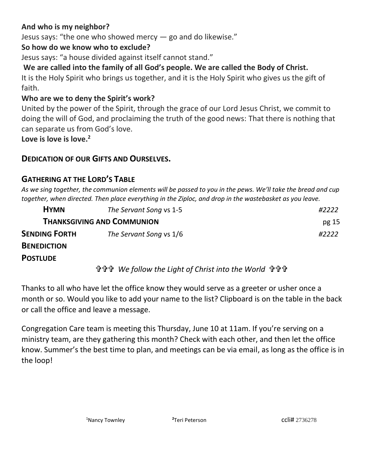# **And who is my neighbor?**

Jesus says: "the one who showed mercy  $-$  go and do likewise."

#### **So how do we know who to exclude?**

Jesus says: "a house divided against itself cannot stand."

# **We are called into the family of all God's people. We are called the Body of Christ.**

It is the Holy Spirit who brings us together, and it is the Holy Spirit who gives us the gift of faith.

#### **Who are we to deny the Spirit's work?**

United by the power of the Spirit, through the grace of our Lord Jesus Christ, we commit to doing the will of God, and proclaiming the truth of the good news: That there is nothing that can separate us from God's love.

**Love is love is love.<sup>2</sup>**

#### **DEDICATION OF OUR GIFTS AND OURSELVES.**

# **GATHERING AT THE LORD'S TABLE**

*As we sing together, the communion elements will be passed to you in the pews. We'll take the bread and cup together, when directed. Then place everything in the Ziploc, and drop in the wastebasket as you leave.* 

| <b>HYMN</b>                       | The Servant Song vs 1-5 | #2222 |
|-----------------------------------|-------------------------|-------|
| <b>THANKSGIVING AND COMMUNION</b> |                         | pg 15 |
| <b>SENDING FORTH</b>              | The Servant Song vs 1/6 | #2222 |
| <b>Desieriamiasi</b>              |                         |       |

# **BENEDICTION**

#### **POSTLUDE**

 *We follow the Light of Christ into the World* 

Thanks to all who have let the office know they would serve as a greeter or usher once a month or so. Would you like to add your name to the list? Clipboard is on the table in the back or call the office and leave a message.

Congregation Care team is meeting this Thursday, June 10 at 11am. If you're serving on a ministry team, are they gathering this month? Check with each other, and then let the office know. Summer's the best time to plan, and meetings can be via email, as long as the office is in the loop!